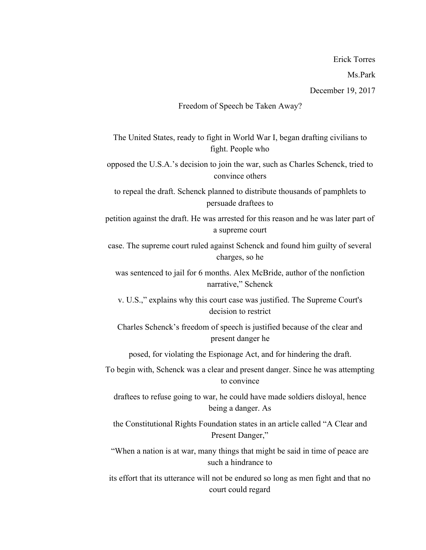Ms.Park

## Freedom of Speech be Taken Away?

The United States, ready to fight in World War I, began drafting civilians to fight. People who

opposed the U.S.A.'s decision to join the war, such as Charles Schenck, tried to convince others

to repeal the draft. Schenck planned to distribute thousands of pamphlets to persuade draftees to

petition against the draft. He was arrested for this reason and he was later part of a supreme court

case. The supreme court ruled against Schenck and found him guilty of several charges, so he

was sentenced to jail for 6 months. Alex McBride, author of the nonfiction narrative," Schenck

v. U.S.," explains why this court case was justified. The Supreme Court's decision to restrict

Charles Schenck's freedom of speech is justified because of the clear and present danger he

posed, for violating the Espionage Act, and for hindering the draft.

To begin with, Schenck was a clear and present danger. Since he was attempting to convince

draftees to refuse going to war, he could have made soldiers disloyal, hence being a danger. As

the Constitutional Rights Foundation states in an article called "A Clear and Present Danger,"

"When a nation is at war, many things that might be said in time of peace are such a hindrance to

its effort that its utterance will not be endured so long as men fight and that no court could regard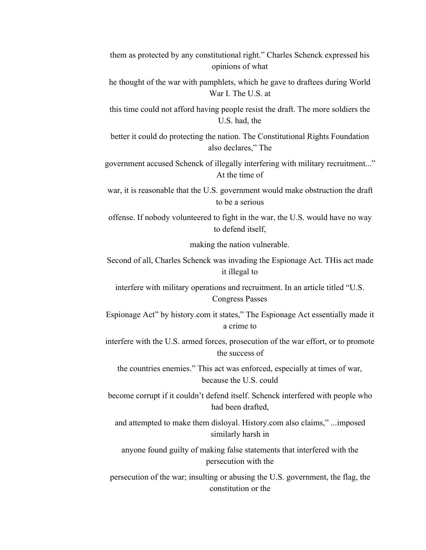| them as protected by any constitutional right." Charles Schenck expressed his |  |
|-------------------------------------------------------------------------------|--|
| opinions of what                                                              |  |

he thought of the war with pamphlets, which he gave to draftees during World War I. The U.S. at

this time could not afford having people resist the draft. The more soldiers the U.S. had, the

better it could do protecting the nation. The Constitutional Rights Foundation also declares," The

government accused Schenck of illegally interfering with military recruitment..." At the time of

war, it is reasonable that the U.S. government would make obstruction the draft to be a serious

offense. If nobody volunteered to fight in the war, the U.S. would have no way to defend itself,

making the nation vulnerable.

Second of all, Charles Schenck was invading the Espionage Act. THis act made it illegal to

interfere with military operations and recruitment. In an article titled "U.S. Congress Passes

Espionage Act" by history.com it states," The Espionage Act essentially made it a crime to

interfere with the U.S. armed forces, prosecution of the war effort, or to promote the success of

the countries enemies." This act was enforced, especially at times of war, because the U.S. could

become corrupt if it couldn't defend itself. Schenck interfered with people who had been drafted,

and attempted to make them disloyal. History.com also claims," ...imposed similarly harsh in

anyone found guilty of making false statements that interfered with the persecution with the

persecution of the war; insulting or abusing the U.S. government, the flag, the constitution or the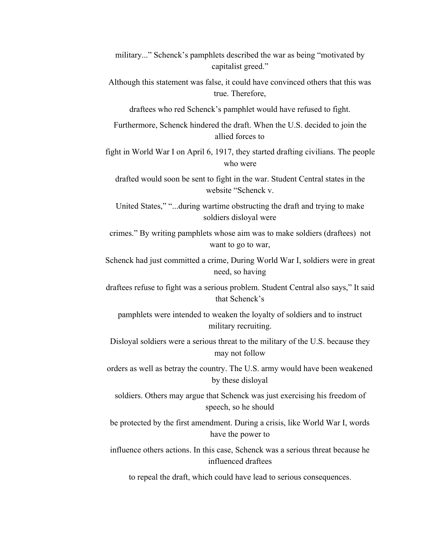- military..." Schenck's pamphlets described the war as being "motivated by capitalist greed."
- Although this statement was false, it could have convinced others that this was true. Therefore,

draftees who red Schenck's pamphlet would have refused to fight.

Furthermore, Schenck hindered the draft. When the U.S. decided to join the allied forces to

fight in World War I on April 6, 1917, they started drafting civilians. The people who were

drafted would soon be sent to fight in the war. Student Central states in the website "Schenck v.

United States," "...during wartime obstructing the draft and trying to make soldiers disloyal were

crimes." By writing pamphlets whose aim was to make soldiers (draftees) not want to go to war,

Schenck had just committed a crime, During World War I, soldiers were in great need, so having

draftees refuse to fight was a serious problem. Student Central also says," It said that Schenck's

pamphlets were intended to weaken the loyalty of soldiers and to instruct military recruiting.

Disloyal soldiers were a serious threat to the military of the U.S. because they may not follow

orders as well as betray the country. The U.S. army would have been weakened by these disloyal

soldiers. Others may argue that Schenck was just exercising his freedom of speech, so he should

be protected by the first amendment. During a crisis, like World War I, words have the power to

influence others actions. In this case, Schenck was a serious threat because he influenced draftees

to repeal the draft, which could have lead to serious consequences.